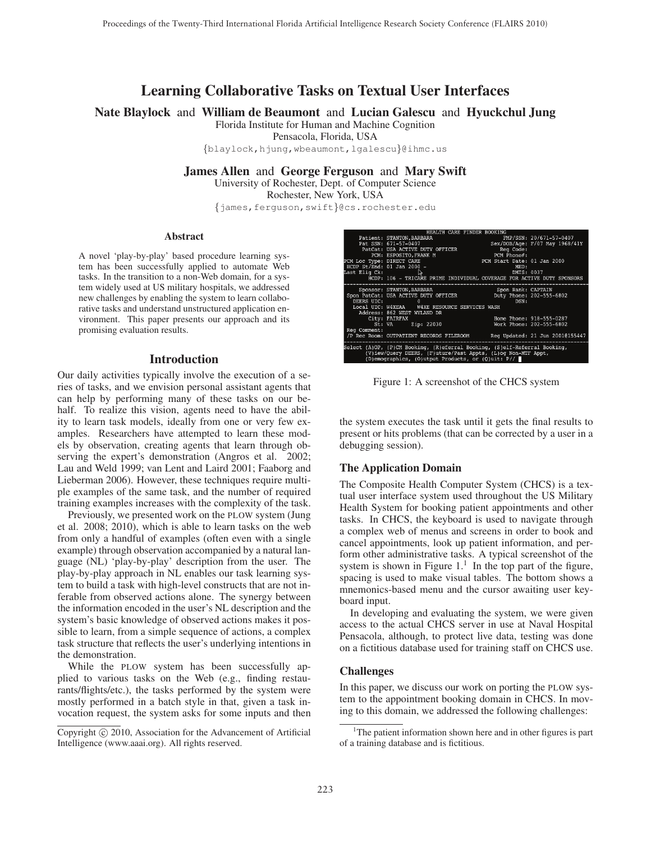# Learning Collaborative Tasks on Textual User Interfaces

Nate Blaylock and William de Beaumont and Lucian Galescu and Hyuckchul Jung

Florida Institute for Human and Machine Cognition

Pensacola, Florida, USA

{blaylock,hjung,wbeaumont,lgalescu}@ihmc.us

James Allen and George Ferguson and Mary Swift

University of Rochester, Dept. of Computer Science

Rochester, New York, USA

{james,ferguson,swift}@cs.rochester.edu

#### Abstract

A novel 'play-by-play' based procedure learning system has been successfully applied to automate Web tasks. In the transition to a non-Web domain, for a system widely used at US military hospitals, we addressed new challenges by enabling the system to learn collaborative tasks and understand unstructured application environment. This paper presents our approach and its promising evaluation results.

## Introduction

Our daily activities typically involve the execution of a series of tasks, and we envision personal assistant agents that can help by performing many of these tasks on our behalf. To realize this vision, agents need to have the ability to learn task models, ideally from one or very few examples. Researchers have attempted to learn these models by observation, creating agents that learn through observing the expert's demonstration (Angros et al. 2002; Lau and Weld 1999; van Lent and Laird 2001; Faaborg and Lieberman 2006). However, these techniques require multiple examples of the same task, and the number of required training examples increases with the complexity of the task.

Previously, we presented work on the PLOW system (Jung et al. 2008; 2010), which is able to learn tasks on the web from only a handful of examples (often even with a single example) through observation accompanied by a natural language (NL) 'play-by-play' description from the user. The play-by-play approach in NL enables our task learning system to build a task with high-level constructs that are not inferable from observed actions alone. The synergy between the information encoded in the user's NL description and the system's basic knowledge of observed actions makes it possible to learn, from a simple sequence of actions, a complex task structure that reflects the user's underlying intentions in the demonstration.

While the PLOW system has been successfully applied to various tasks on the Web (e.g., finding restaurants/flights/etc.), the tasks performed by the system were mostly performed in a batch style in that, given a task invocation request, the system asks for some inputs and then





Figure 1: A screenshot of the CHCS system

the system executes the task until it gets the final results to present or hits problems (that can be corrected by a user in a debugging session).

## The Application Domain

The Composite Health Computer System (CHCS) is a textual user interface system used throughout the US Military Health System for booking patient appointments and other tasks. In CHCS, the keyboard is used to navigate through a complex web of menus and screens in order to book and cancel appointments, look up patient information, and perform other administrative tasks. A typical screenshot of the system is shown in Figure  $1<sup>1</sup>$ . In the top part of the figure, spacing is used to make visual tables. The bottom shows a mnemonics-based menu and the cursor awaiting user keyboard input.

In developing and evaluating the system, we were given access to the actual CHCS server in use at Naval Hospital Pensacola, although, to protect live data, testing was done on a fictitious database used for training staff on CHCS use.

#### Challenges

In this paper, we discuss our work on porting the PLOW system to the appointment booking domain in CHCS. In moving to this domain, we addressed the following challenges:

<sup>&</sup>lt;sup>1</sup>The patient information shown here and in other figures is part of a training database and is fictitious.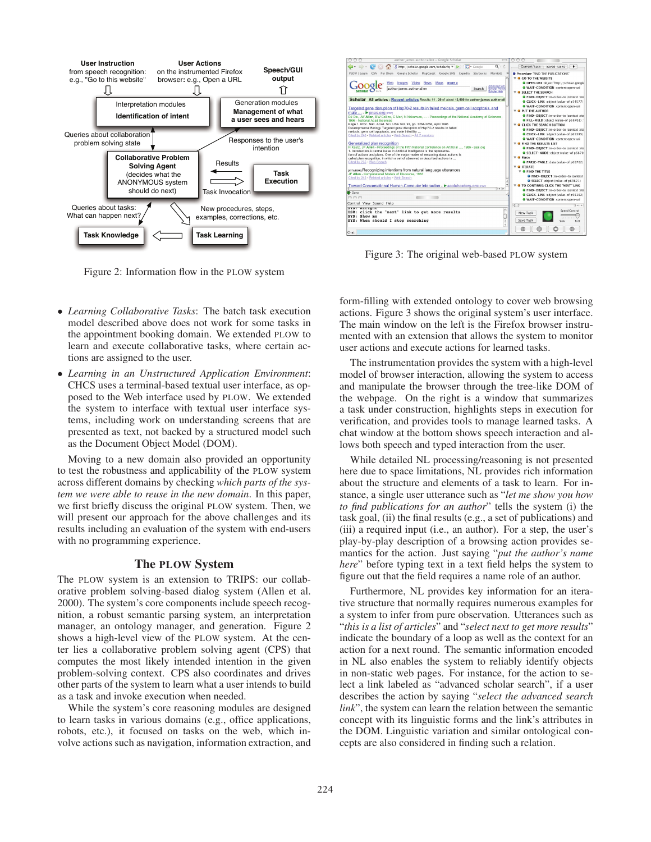

Figure 2: Information flow in the PLOW system

- *Learning Collaborative Tasks*: The batch task execution model described above does not work for some tasks in the appointment booking domain. We extended PLOW to learn and execute collaborative tasks, where certain actions are assigned to the user.
- *Learning in an Unstructured Application Environment*: CHCS uses a terminal-based textual user interface, as opposed to the Web interface used by PLOW. We extended the system to interface with textual user interface systems, including work on understanding screens that are presented as text, not backed by a structured model such as the Document Object Model (DOM).

Moving to a new domain also provided an opportunity to test the robustness and applicability of the PLOW system across different domains by checking *which parts of the system we were able to reuse in the new domain*. In this paper, we first briefly discuss the original PLOW system. Then, we will present our approach for the above challenges and its results including an evaluation of the system with end-users with no programming experience.

## The PLOW System

The PLOW system is an extension to TRIPS: our collaborative problem solving-based dialog system (Allen et al. 2000). The system's core components include speech recognition, a robust semantic parsing system, an interpretation manager, an ontology manager, and generation. Figure 2 shows a high-level view of the PLOW system. At the center lies a collaborative problem solving agent (CPS) that computes the most likely intended intention in the given problem-solving context. CPS also coordinates and drives other parts of the system to learn what a user intends to build as a task and invoke execution when needed.

While the system's core reasoning modules are designed to learn tasks in various domains (e.g., office applications, robots, etc.), it focused on tasks on the web, which involve actions such as navigation, information extraction, and



Figure 3: The original web-based PLOW system

form-filling with extended ontology to cover web browsing actions. Figure 3 shows the original system's user interface. The main window on the left is the Firefox browser instrumented with an extension that allows the system to monitor user actions and execute actions for learned tasks.

The instrumentation provides the system with a high-level model of browser interaction, allowing the system to access and manipulate the browser through the tree-like DOM of the webpage. On the right is a window that summarizes a task under construction, highlights steps in execution for verification, and provides tools to manage learned tasks. A chat window at the bottom shows speech interaction and allows both speech and typed interaction from the user.

While detailed NL processing/reasoning is not presented here due to space limitations, NL provides rich information about the structure and elements of a task to learn. For instance, a single user utterance such as "*let me show you how to find publications for an author*" tells the system (i) the task goal, (ii) the final results (e.g., a set of publications) and (iii) a required input (i.e., an author). For a step, the user's play-by-play description of a browsing action provides semantics for the action. Just saying "*put the author's name here*" before typing text in a text field helps the system to figure out that the field requires a name role of an author.

Furthermore, NL provides key information for an iterative structure that normally requires numerous examples for a system to infer from pure observation. Utterances such as "*this is a list of articles*" and "*select next to get more results*" indicate the boundary of a loop as well as the context for an action for a next round. The semantic information encoded in NL also enables the system to reliably identify objects in non-static web pages. For instance, for the action to select a link labeled as "advanced scholar search", if a user describes the action by saying "*select the advanced search link*", the system can learn the relation between the semantic concept with its linguistic forms and the link's attributes in the DOM. Linguistic variation and similar ontological concepts are also considered in finding such a relation.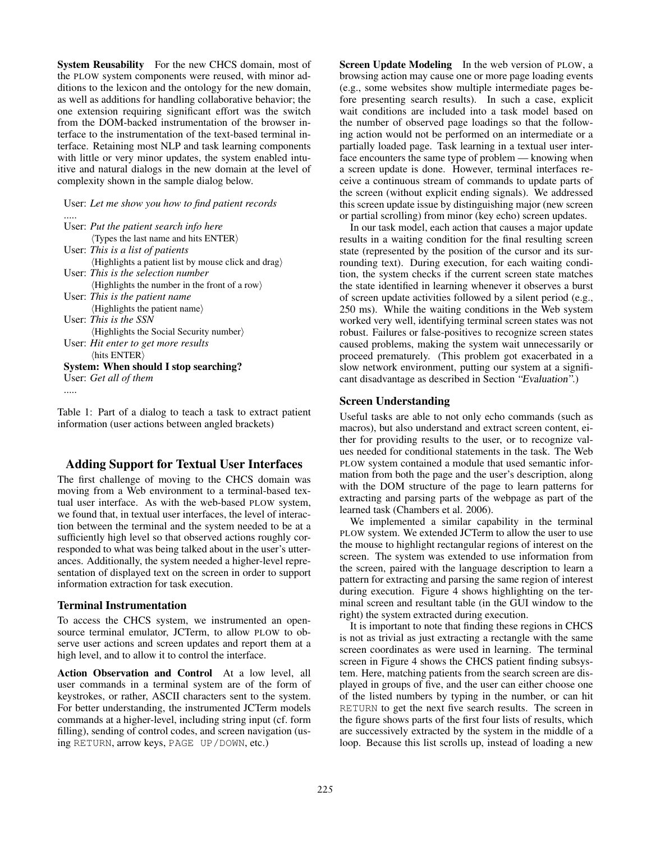System Reusability For the new CHCS domain, most of the PLOW system components were reused, with minor additions to the lexicon and the ontology for the new domain, as well as additions for handling collaborative behavior; the one extension requiring significant effort was the switch from the DOM-backed instrumentation of the browser interface to the instrumentation of the text-based terminal interface. Retaining most NLP and task learning components with little or very minor updates, the system enabled intuitive and natural dialogs in the new domain at the level of complexity shown in the sample dialog below.

User: *Let me show you how to find patient records*

| User: Put the patient search info here                          |
|-----------------------------------------------------------------|
| $\langle$ Types the last name and hits ENTER $\rangle$          |
| User: This is a list of patients                                |
| (Highlights a patient list by mouse click and drag)             |
| User: This is the selection number                              |
| $\langle$ Highlights the number in the front of a row $\rangle$ |
| User: This is the patient name                                  |
| (Highlights the patient name)                                   |
| User: This is the SSN                                           |
| $\langle$ Highlights the Social Security number $\rangle$       |
| User: Hit enter to get more results                             |
| $\langle$ hits ENTER $\rangle$                                  |
| System: When should I stop searching?                           |
| User: Get all of them                                           |
|                                                                 |

Table 1: Part of a dialog to teach a task to extract patient information (user actions between angled brackets)

# Adding Support for Textual User Interfaces

The first challenge of moving to the CHCS domain was moving from a Web environment to a terminal-based textual user interface. As with the web-based PLOW system, we found that, in textual user interfaces, the level of interaction between the terminal and the system needed to be at a sufficiently high level so that observed actions roughly corresponded to what was being talked about in the user's utterances. Additionally, the system needed a higher-level representation of displayed text on the screen in order to support information extraction for task execution.

#### Terminal Instrumentation

To access the CHCS system, we instrumented an opensource terminal emulator, JCTerm, to allow PLOW to observe user actions and screen updates and report them at a high level, and to allow it to control the interface.

Action Observation and Control At a low level, all user commands in a terminal system are of the form of keystrokes, or rather, ASCII characters sent to the system. For better understanding, the instrumented JCTerm models commands at a higher-level, including string input (cf. form filling), sending of control codes, and screen navigation (using RETURN, arrow keys, PAGE UP/DOWN, etc.)

Screen Update Modeling In the web version of PLOW, a browsing action may cause one or more page loading events (e.g., some websites show multiple intermediate pages before presenting search results). In such a case, explicit wait conditions are included into a task model based on the number of observed page loadings so that the following action would not be performed on an intermediate or a partially loaded page. Task learning in a textual user interface encounters the same type of problem — knowing when a screen update is done. However, terminal interfaces receive a continuous stream of commands to update parts of the screen (without explicit ending signals). We addressed this screen update issue by distinguishing major (new screen or partial scrolling) from minor (key echo) screen updates.

In our task model, each action that causes a major update results in a waiting condition for the final resulting screen state (represented by the position of the cursor and its surrounding text). During execution, for each waiting condition, the system checks if the current screen state matches the state identified in learning whenever it observes a burst of screen update activities followed by a silent period (e.g., 250 ms). While the waiting conditions in the Web system worked very well, identifying terminal screen states was not robust. Failures or false-positives to recognize screen states caused problems, making the system wait unnecessarily or proceed prematurely. (This problem got exacerbated in a slow network environment, putting our system at a significant disadvantage as described in Section *"Evaluation"*.)

## Screen Understanding

Useful tasks are able to not only echo commands (such as macros), but also understand and extract screen content, either for providing results to the user, or to recognize values needed for conditional statements in the task. The Web PLOW system contained a module that used semantic information from both the page and the user's description, along with the DOM structure of the page to learn patterns for extracting and parsing parts of the webpage as part of the learned task (Chambers et al. 2006).

We implemented a similar capability in the terminal PLOW system. We extended JCTerm to allow the user to use the mouse to highlight rectangular regions of interest on the screen. The system was extended to use information from the screen, paired with the language description to learn a pattern for extracting and parsing the same region of interest during execution. Figure 4 shows highlighting on the terminal screen and resultant table (in the GUI window to the right) the system extracted during execution.

It is important to note that finding these regions in CHCS is not as trivial as just extracting a rectangle with the same screen coordinates as were used in learning. The terminal screen in Figure 4 shows the CHCS patient finding subsystem. Here, matching patients from the search screen are displayed in groups of five, and the user can either choose one of the listed numbers by typing in the number, or can hit RETURN to get the next five search results. The screen in the figure shows parts of the first four lists of results, which are successively extracted by the system in the middle of a loop. Because this list scrolls up, instead of loading a new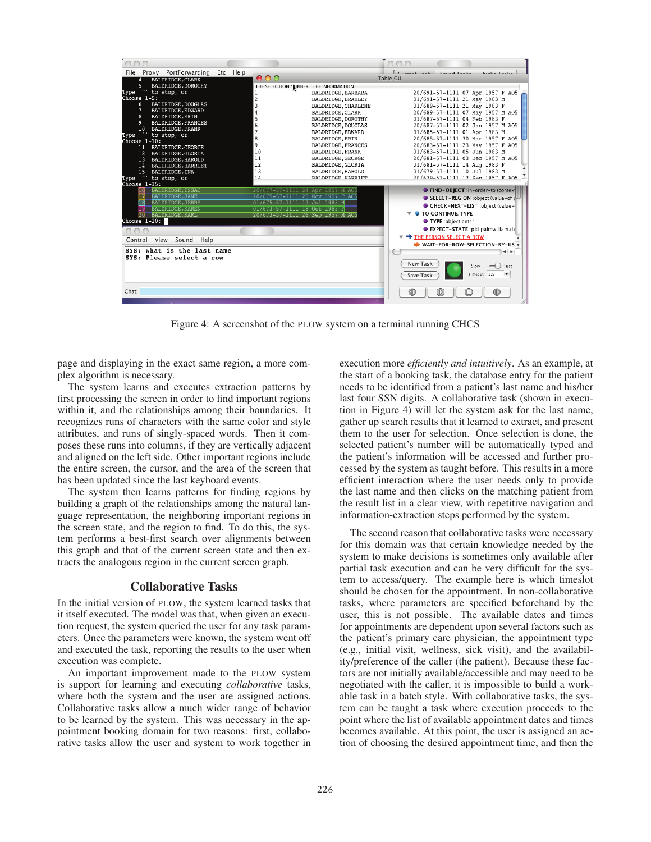

Figure 4: A screenshot of the PLOW system on a terminal running CHCS

page and displaying in the exact same region, a more complex algorithm is necessary.

The system learns and executes extraction patterns by first processing the screen in order to find important regions within it, and the relationships among their boundaries. It recognizes runs of characters with the same color and style attributes, and runs of singly-spaced words. Then it composes these runs into columns, if they are vertically adjacent and aligned on the left side. Other important regions include the entire screen, the cursor, and the area of the screen that has been updated since the last keyboard events.

The system then learns patterns for finding regions by building a graph of the relationships among the natural language representation, the neighboring important regions in the screen state, and the region to find. To do this, the system performs a best-first search over alignments between this graph and that of the current screen state and then extracts the analogous region in the current screen graph.

## Collaborative Tasks

In the initial version of PLOW, the system learned tasks that it itself executed. The model was that, when given an execution request, the system queried the user for any task parameters. Once the parameters were known, the system went off and executed the task, reporting the results to the user when execution was complete.

An important improvement made to the PLOW system is support for learning and executing *collaborative* tasks, where both the system and the user are assigned actions. Collaborative tasks allow a much wider range of behavior to be learned by the system. This was necessary in the appointment booking domain for two reasons: first, collaborative tasks allow the user and system to work together in execution more *efficiently and intuitively*. As an example, at the start of a booking task, the database entry for the patient needs to be identified from a patient's last name and his/her last four SSN digits. A collaborative task (shown in execution in Figure 4) will let the system ask for the last name, gather up search results that it learned to extract, and present them to the user for selection. Once selection is done, the selected patient's number will be automatically typed and the patient's information will be accessed and further processed by the system as taught before. This results in a more efficient interaction where the user needs only to provide the last name and then clicks on the matching patient from the result list in a clear view, with repetitive navigation and information-extraction steps performed by the system.

The second reason that collaborative tasks were necessary for this domain was that certain knowledge needed by the system to make decisions is sometimes only available after partial task execution and can be very difficult for the system to access/query. The example here is which timeslot should be chosen for the appointment. In non-collaborative tasks, where parameters are specified beforehand by the user, this is not possible. The available dates and times for appointments are dependent upon several factors such as the patient's primary care physician, the appointment type (e.g., initial visit, wellness, sick visit), and the availability/preference of the caller (the patient). Because these factors are not initially available/accessible and may need to be negotiated with the caller, it is impossible to build a workable task in a batch style. With collaborative tasks, the system can be taught a task where execution proceeds to the point where the list of available appointment dates and times becomes available. At this point, the user is assigned an action of choosing the desired appointment time, and then the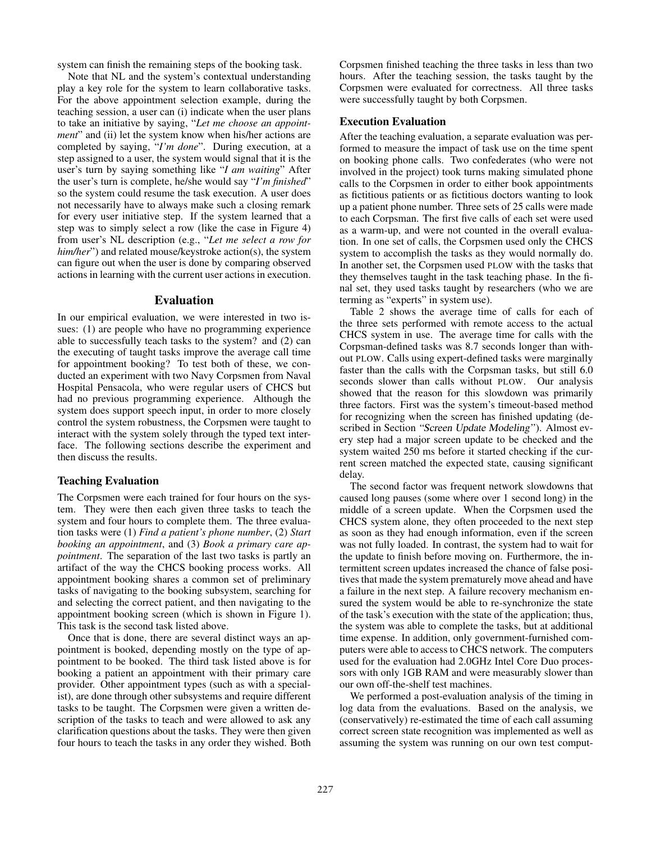system can finish the remaining steps of the booking task.

Note that NL and the system's contextual understanding play a key role for the system to learn collaborative tasks. For the above appointment selection example, during the teaching session, a user can (i) indicate when the user plans to take an initiative by saying, "*Let me choose an appointment*" and (ii) let the system know when his/her actions are completed by saying, "*I'm done*". During execution, at a step assigned to a user, the system would signal that it is the user's turn by saying something like "*I am waiting*" After the user's turn is complete, he/she would say "*I'm finished*" so the system could resume the task execution. A user does not necessarily have to always make such a closing remark for every user initiative step. If the system learned that a step was to simply select a row (like the case in Figure 4) from user's NL description (e.g., "*Let me select a row for him/her*") and related mouse/keystroke action(s), the system can figure out when the user is done by comparing observed actions in learning with the current user actions in execution.

## Evaluation

In our empirical evaluation, we were interested in two issues: (1) are people who have no programming experience able to successfully teach tasks to the system? and (2) can the executing of taught tasks improve the average call time for appointment booking? To test both of these, we conducted an experiment with two Navy Corpsmen from Naval Hospital Pensacola, who were regular users of CHCS but had no previous programming experience. Although the system does support speech input, in order to more closely control the system robustness, the Corpsmen were taught to interact with the system solely through the typed text interface. The following sections describe the experiment and then discuss the results.

## Teaching Evaluation

The Corpsmen were each trained for four hours on the system. They were then each given three tasks to teach the system and four hours to complete them. The three evaluation tasks were (1) *Find a patient's phone number*, (2) *Start booking an appointment*, and (3) *Book a primary care appointment*. The separation of the last two tasks is partly an artifact of the way the CHCS booking process works. All appointment booking shares a common set of preliminary tasks of navigating to the booking subsystem, searching for and selecting the correct patient, and then navigating to the appointment booking screen (which is shown in Figure 1). This task is the second task listed above.

Once that is done, there are several distinct ways an appointment is booked, depending mostly on the type of appointment to be booked. The third task listed above is for booking a patient an appointment with their primary care provider. Other appointment types (such as with a specialist), are done through other subsystems and require different tasks to be taught. The Corpsmen were given a written description of the tasks to teach and were allowed to ask any clarification questions about the tasks. They were then given four hours to teach the tasks in any order they wished. Both Corpsmen finished teaching the three tasks in less than two hours. After the teaching session, the tasks taught by the Corpsmen were evaluated for correctness. All three tasks were successfully taught by both Corpsmen.

# Execution Evaluation

After the teaching evaluation, a separate evaluation was performed to measure the impact of task use on the time spent on booking phone calls. Two confederates (who were not involved in the project) took turns making simulated phone calls to the Corpsmen in order to either book appointments as fictitious patients or as fictitious doctors wanting to look up a patient phone number. Three sets of 25 calls were made to each Corpsman. The first five calls of each set were used as a warm-up, and were not counted in the overall evaluation. In one set of calls, the Corpsmen used only the CHCS system to accomplish the tasks as they would normally do. In another set, the Corpsmen used PLOW with the tasks that they themselves taught in the task teaching phase. In the final set, they used tasks taught by researchers (who we are terming as "experts" in system use).

Table 2 shows the average time of calls for each of the three sets performed with remote access to the actual CHCS system in use. The average time for calls with the Corpsman-defined tasks was 8.7 seconds longer than without PLOW. Calls using expert-defined tasks were marginally faster than the calls with the Corpsman tasks, but still 6.0 seconds slower than calls without PLOW. Our analysis showed that the reason for this slowdown was primarily three factors. First was the system's timeout-based method for recognizing when the screen has finished updating (described in Section "Screen Update Modeling"). Almost every step had a major screen update to be checked and the system waited 250 ms before it started checking if the current screen matched the expected state, causing significant delay.

The second factor was frequent network slowdowns that caused long pauses (some where over 1 second long) in the middle of a screen update. When the Corpsmen used the CHCS system alone, they often proceeded to the next step as soon as they had enough information, even if the screen was not fully loaded. In contrast, the system had to wait for the update to finish before moving on. Furthermore, the intermittent screen updates increased the chance of false positives that made the system prematurely move ahead and have a failure in the next step. A failure recovery mechanism ensured the system would be able to re-synchronize the state of the task's execution with the state of the application; thus, the system was able to complete the tasks, but at additional time expense. In addition, only government-furnished computers were able to access to CHCS network. The computers used for the evaluation had 2.0GHz Intel Core Duo processors with only 1GB RAM and were measurably slower than our own off-the-shelf test machines.

We performed a post-evaluation analysis of the timing in log data from the evaluations. Based on the analysis, we (conservatively) re-estimated the time of each call assuming correct screen state recognition was implemented as well as assuming the system was running on our own test comput-